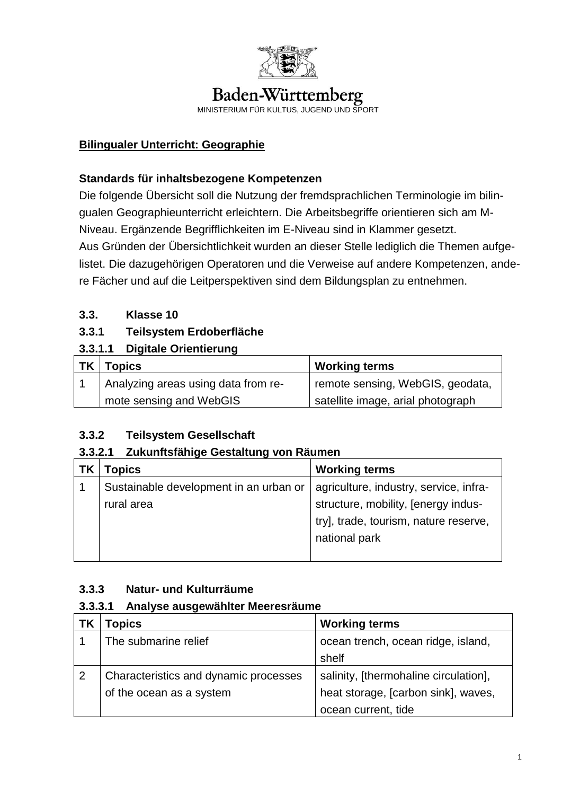

# Baden-Württemberg

MINISTERIUM FÜR KULTUS, JUGEND UND SPORT

## **Bilingualer Unterricht: Geographie**

#### **Standards für inhaltsbezogene Kompetenzen**

Die folgende Übersicht soll die Nutzung der fremdsprachlichen Terminologie im bilingualen Geographieunterricht erleichtern. Die Arbeitsbegriffe orientieren sich am M-Niveau. Ergänzende Begrifflichkeiten im E-Niveau sind in Klammer gesetzt. Aus Gründen der Übersichtlichkeit wurden an dieser Stelle lediglich die Themen aufgelistet. Die dazugehörigen Operatoren und die Verweise auf andere Kompetenzen, andere Fächer und auf die Leitperspektiven sind dem Bildungsplan zu entnehmen.

## **3.3. Klasse 10**

## **3.3.1 Teilsystem Erdoberfläche**

# **3.3.1.1 Digitale Orientierung**

| <b>TK</b> | <b>Topics</b>                       | <b>Working terms</b>               |
|-----------|-------------------------------------|------------------------------------|
|           | Analyzing areas using data from re- | I remote sensing, WebGIS, geodata, |
|           | mote sensing and WebGIS             | satellite image, arial photograph  |

# **3.3.2 Teilsystem Gesellschaft**

## **3.3.2.1 Zukunftsfähige Gestaltung von Räumen**

| ΤK | Topics                                 | <b>Working terms</b>                   |
|----|----------------------------------------|----------------------------------------|
|    | Sustainable development in an urban or | agriculture, industry, service, infra- |
|    | rural area                             | structure, mobility, [energy indus-    |
|    |                                        | try], trade, tourism, nature reserve,  |
|    |                                        | national park                          |
|    |                                        |                                        |

## **3.3.3 Natur- und Kulturräume**

## **3.3.3.1 Analyse ausgewählter Meeresräume**

|   | Topics                                | <b>Working terms</b>                  |
|---|---------------------------------------|---------------------------------------|
|   | The submarine relief                  | ocean trench, ocean ridge, island,    |
|   |                                       | shelf                                 |
| 2 | Characteristics and dynamic processes | salinity, [thermohaline circulation], |
|   | of the ocean as a system              | heat storage, [carbon sink], waves,   |
|   |                                       | ocean current, tide                   |